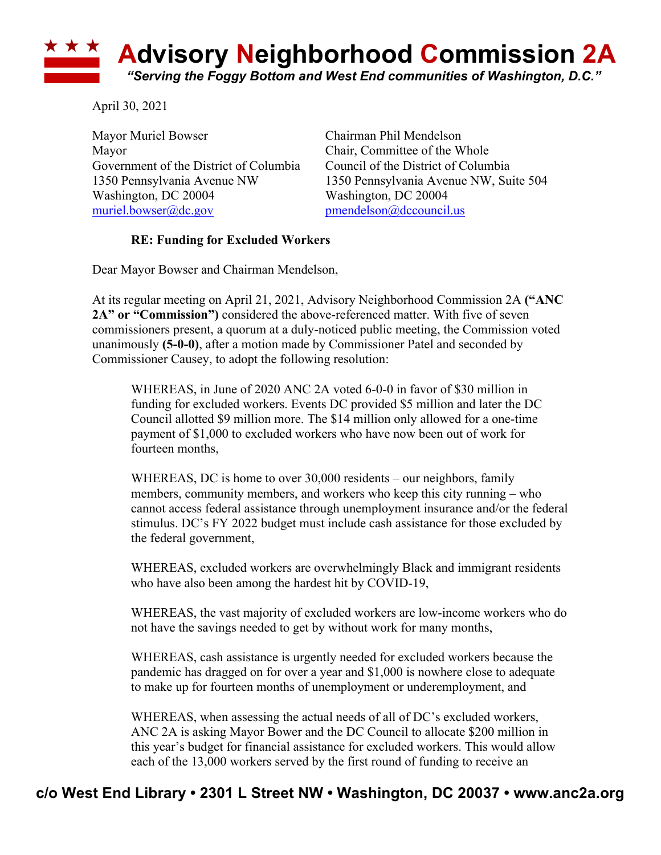## **\* \* \* Advisory Neighborhood Commission 2A** *"Serving the Foggy Bottom and West End communities of Washington, D.C."*

April 30, 2021

Mayor Muriel Bowser Chairman Phil Mendelson Mayor Chair, Committee of the Whole Government of the District of Columbia Council of the District of Columbia Washington, DC 20004 Washington, DC 20004 muriel.bowser@dc.gov pmendelson@dccouncil.us

1350 Pennsylvania Avenue NW 1350 Pennsylvania Avenue NW, Suite 504

## **RE: Funding for Excluded Workers**

Dear Mayor Bowser and Chairman Mendelson,

At its regular meeting on April 21, 2021, Advisory Neighborhood Commission 2A **("ANC 2A" or "Commission")** considered the above-referenced matter. With five of seven commissioners present, a quorum at a duly-noticed public meeting, the Commission voted unanimously **(5-0-0)**, after a motion made by Commissioner Patel and seconded by Commissioner Causey, to adopt the following resolution:

WHEREAS, in June of 2020 ANC 2A voted 6-0-0 in favor of \$30 million in funding for excluded workers. Events DC provided \$5 million and later the DC Council allotted \$9 million more. The \$14 million only allowed for a one-time payment of \$1,000 to excluded workers who have now been out of work for fourteen months,

WHEREAS, DC is home to over 30,000 residents – our neighbors, family members, community members, and workers who keep this city running – who cannot access federal assistance through unemployment insurance and/or the federal stimulus. DC's FY 2022 budget must include cash assistance for those excluded by the federal government,

WHEREAS, excluded workers are overwhelmingly Black and immigrant residents who have also been among the hardest hit by COVID-19,

WHEREAS, the vast majority of excluded workers are low-income workers who do not have the savings needed to get by without work for many months,

WHEREAS, cash assistance is urgently needed for excluded workers because the pandemic has dragged on for over a year and \$1,000 is nowhere close to adequate to make up for fourteen months of unemployment or underemployment, and

WHEREAS, when assessing the actual needs of all of DC's excluded workers, ANC 2A is asking Mayor Bower and the DC Council to allocate \$200 million in this year's budget for financial assistance for excluded workers. This would allow each of the 13,000 workers served by the first round of funding to receive an

## **c/o West End Library • 2301 L Street NW • Washington, DC 20037 • www.anc2a.org**